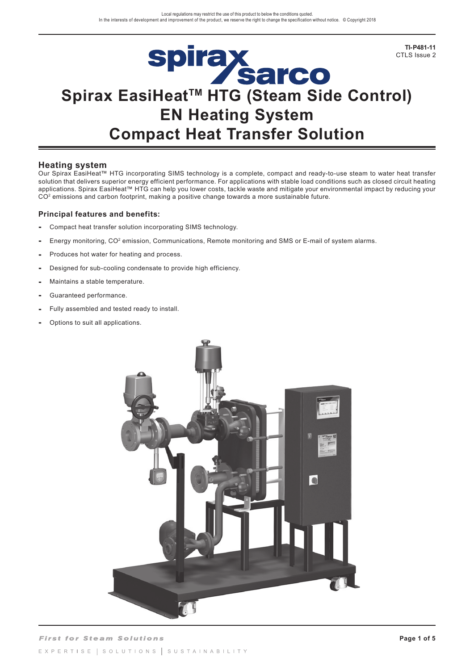**TI-P481-11**  CTLS Issue 2

# Spirax<br>Sarco<br>Spirax EasiHeat<sup>™</sup> HTG (Steam Side Control) **EN Heating System Compact Heat Transfer Solution**

### **Heating system**

Our Spirax EasiHeat™ HTG incorporating SIMS technology is a complete, compact and ready-to-use steam to water heat transfer solution that delivers superior energy efficient performance. For applications with stable load conditions such as closed circuit heating applications. Spirax EasiHeat™ HTG can help you lower costs, tackle waste and mitigate your environmental impact by reducing your CO<sup>2</sup> emissions and carbon footprint, making a positive change towards a more sustainable future.

### **Principal features and benefits:**

- **-** Compact heat transfer solution incorporating SIMS technology.
- **-** Energy monitoring, CO2 emission, Communications, Remote monitoring and SMS or E-mail of system alarms.
- **-** Produces hot water for heating and process.
- **-** Designed for sub-cooling condensate to provide high efficiency.
- **-** Maintains a stable temperature.
- **-** Guaranteed performance.
- **-** Fully assembled and tested ready to install.
- **-** Options to suit all applications.

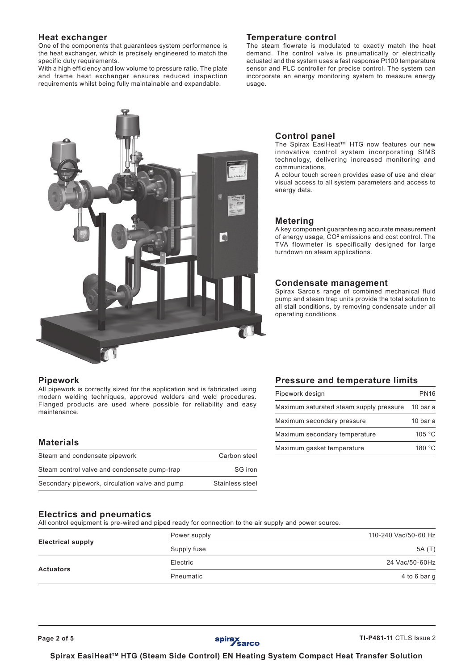### **Heat exchanger**

One of the components that guarantees system performance is the heat exchanger, which is precisely engineered to match the specific duty requirements.

With a high efficiency and low volume to pressure ratio. The plate and frame heat exchanger ensures reduced inspection requirements whilst being fully maintainable and expandable.

# $\bullet$

### **Temperature control**

The steam flowrate is modulated to exactly match the heat demand. The control valve is pneumatically or electrically actuated and the system uses a fast response Pt100 temperature sensor and PLC controller for precise control. The system can incorporate an energy monitoring system to measure energy usage.

### **Control panel**

The Spirax EasiHeat™ HTG now features our new innovative control system incorporating SIMS technology, delivering increased monitoring and communications.

A colour touch screen provides ease of use and clear visual access to all system parameters and access to energy data.

### **Metering**

A key component guaranteeing accurate measurement of energy usage, CO**<sup>2</sup>** emissions and cost control. The TVA flowmeter is specifically designed for large turndown on steam applications.

### **Condensate management**

Spirax Sarco's range of combined mechanical fluid pump and steam trap units provide the total solution to all stall conditions, by removing condensate under all operating conditions.

### **Pipework**

All pipework is correctly sized for the application and is fabricated using modern welding techniques, approved welders and weld procedures. Flanged products are used where possible for reliability and easy maintenance.

### **Materials**

| Steam and condensate pipework                  | Carbon steel    |  |  |  |
|------------------------------------------------|-----------------|--|--|--|
| Steam control valve and condensate pump-trap   | SG iron         |  |  |  |
| Secondary pipework, circulation valve and pump | Stainless steel |  |  |  |

### **Pressure and temperature limits**

| Pipework design                         | <b>PN16</b>     |  |  |
|-----------------------------------------|-----------------|--|--|
| Maximum saturated steam supply pressure | 10 bar a        |  |  |
| Maximum secondary pressure              | $10bar$ a       |  |  |
| Maximum secondary temperature           | 105 °C          |  |  |
| Maximum gasket temperature              | 180 $\degree$ C |  |  |

### **Electrics and pneumatics**

All control equipment is pre-wired and piped ready for connection to the air supply and power source.

|                          | Power supply | 110-240 Vac/50-60 Hz |
|--------------------------|--------------|----------------------|
| <b>Electrical supply</b> | Supply fuse  | 5A (T)               |
|                          | Electric     | 24 Vac/50-60Hz       |
| <b>Actuators</b>         | Pneumatic    | 4 to 6 bar g         |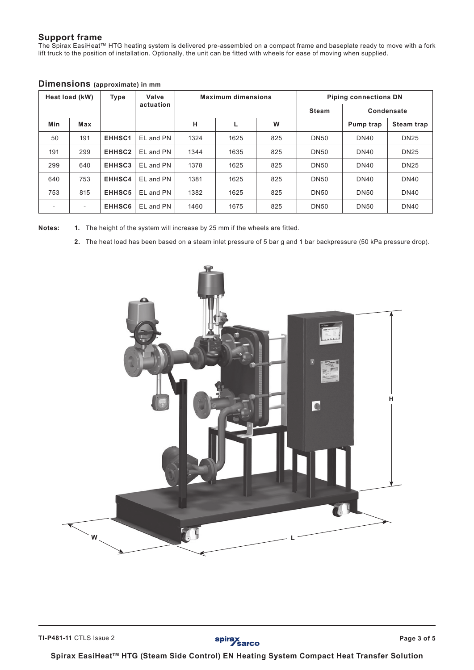### **Support frame**

The Spirax EasiHeat™ HTG heating system is delivered pre-assembled on a compact frame and baseplate ready to move with a fork lift truck to the position of installation. Optionally, the unit can be fitted with wheels for ease of moving when supplied.

| Heat load (kW)<br>Type |                          |                    | Valve     |      | <b>Maximum dimensions</b> | <b>Piping connections DN</b> |              |                   |                   |  |  |
|------------------------|--------------------------|--------------------|-----------|------|---------------------------|------------------------------|--------------|-------------------|-------------------|--|--|
|                        |                          |                    | actuation |      |                           |                              | <b>Steam</b> | <b>Condensate</b> |                   |  |  |
| Min                    | Max                      |                    |           | н    | L                         | W                            |              | Pump trap         | <b>Steam trap</b> |  |  |
| 50                     | 191                      | EHHSC1             | EL and PN | 1324 | 1625                      | 825                          | <b>DN50</b>  | <b>DN40</b>       | <b>DN25</b>       |  |  |
| 191                    | 299                      | EHHSC <sub>2</sub> | EL and PN | 1344 | 1635                      | 825                          | <b>DN50</b>  | <b>DN40</b>       | <b>DN25</b>       |  |  |
| 299                    | 640                      | EHHSC3             | EL and PN | 1378 | 1625                      | 825                          | <b>DN50</b>  | <b>DN40</b>       | <b>DN25</b>       |  |  |
| 640                    | 753                      | EHHSC4             | EL and PN | 1381 | 1625                      | 825                          | <b>DN50</b>  | <b>DN40</b>       | <b>DN40</b>       |  |  |
| 753                    | 815                      | EHHSC5             | EL and PN | 1382 | 1625                      | 825                          | <b>DN50</b>  | <b>DN50</b>       | <b>DN40</b>       |  |  |
|                        | $\overline{\phantom{a}}$ | EHHSC6             | EL and PN | 1460 | 1675                      | 825                          | <b>DN50</b>  | <b>DN50</b>       | <b>DN40</b>       |  |  |

### **Dimensions (approximate) in mm**

**Notes: 1.** The height of the system will increase by 25 mm if the wheels are fitted.

**2.** The heat load has been based on a steam inlet pressure of 5 bar g and 1 bar backpressure (50 kPa pressure drop).



spirax<br>Sarco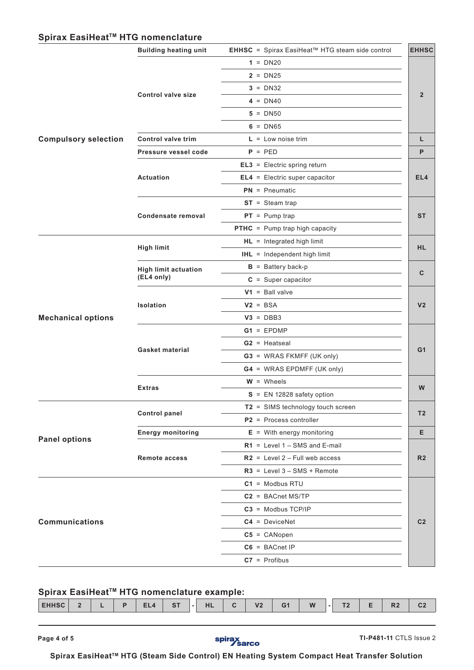### Spirax EasiHeat<sup>™</sup> HTG nomenclature

|                             | <b>Building heating unit</b> | EHHSC = Spirax EasiHeat™ HTG steam side control | <b>EHHSC</b>    |
|-----------------------------|------------------------------|-------------------------------------------------|-----------------|
|                             |                              | $1 = DN20$                                      |                 |
|                             |                              | $2 = DN25$                                      |                 |
|                             |                              | $3 = DN32$                                      |                 |
|                             | <b>Control valve size</b>    | $4 = DN40$                                      | $\overline{2}$  |
|                             |                              | $5 = DN50$                                      |                 |
|                             |                              | $6 = D N65$                                     |                 |
| <b>Compulsory selection</b> | <b>Control valve trim</b>    | $L = Low noise trim$                            | L               |
|                             | Pressure vessel code         | $P = PED$                                       | P               |
|                             |                              | $EL3 = Electric spring return$                  |                 |
|                             | Actuation                    | $EL4 = Electric super capacitor$                | EL <sub>4</sub> |
|                             |                              | $PN = P$ neumatic                               |                 |
|                             |                              | $ST = Steam trap$                               |                 |
|                             | Condensate removal           | $PT = Pump trap$                                | <b>ST</b>       |
|                             |                              | <b>PTHC</b> = Pump trap high capacity           |                 |
|                             |                              | $HL =$ Integrated high limit                    |                 |
|                             | <b>High limit</b>            | <b>IHL</b> = Independent high limit             | <b>HL</b>       |
|                             | <b>High limit actuation</b>  | $B =$ Battery back-p                            |                 |
|                             | (EL4 only)                   | $C = Super capacitor$                           | C               |
| <b>Mechanical options</b>   |                              | $V1 =$ Ball valve                               |                 |
|                             | Isolation                    | $V2 = BSA$                                      | V <sub>2</sub>  |
|                             |                              | $V3 = DBB3$                                     |                 |
|                             |                              | $G1 = EPDMP$                                    |                 |
|                             |                              | $G2$ = Heatseal                                 |                 |
|                             | <b>Gasket material</b>       | G3 = WRAS FKMFF (UK only)                       | G <sub>1</sub>  |
|                             |                              | <b>G4</b> = WRAS EPDMFF (UK only)               |                 |
|                             |                              | $W =$ Wheels                                    |                 |
|                             | <b>Extras</b>                | $S = EN 12828$ safety option                    | W               |
|                             |                              | T2 = SIMS technology touch screen               |                 |
|                             | <b>Control panel</b>         | $P2$ = Process controller                       | T <sub>2</sub>  |
|                             | <b>Energy monitoring</b>     | $E =$ With energy monitoring                    | Е               |
| <b>Panel options</b>        |                              | $R1$ = Level 1 - SMS and E-mail                 |                 |
|                             | <b>Remote access</b>         | $R2$ = Level 2 - Full web access                | R <sub>2</sub>  |
|                             |                              | $R3$ = Level $3 - SMS + Remote$                 |                 |
|                             |                              | $C1 = Modbus RTU$                               |                 |
|                             |                              | $C2 = BACnet MS/TP$                             |                 |
|                             |                              | $C3 = Modbus TCP/IP$                            |                 |
| <b>Communications</b>       |                              | $C4 = DeviceNet$                                | C <sub>2</sub>  |
|                             |                              | $C5 = CANopen$                                  |                 |
|                             |                              | $C6 = BACnet IP$                                |                 |
|                             |                              | $C7 =$ Profibus                                 |                 |

## Spirax EasiHeat<sup>™</sup> HTG nomenclature example:

| - 14<br>пL<br>ЕПІ<br>n.<br>−<br>◡▵<br>$- -$<br>. .<br>. .<br>- | <b>EUUSC</b> |  | D | Tе III. | $-07$ | ш | $\sim$ | V <sub>2</sub> | G <sub>1</sub> | <b>W</b> | T <sub>0</sub> | $\mathbf{D}$ | $\sim$ |
|----------------------------------------------------------------|--------------|--|---|---------|-------|---|--------|----------------|----------------|----------|----------------|--------------|--------|
|                                                                |              |  |   |         |       |   |        |                |                |          |                |              |        |



**Page 4 of 5 TI-P481-11** CTLS Issue 2

Spirax EasiHeat<sup>™</sup> HTG (Steam Side Control) EN Heating System Compact Heat Transfer Solution